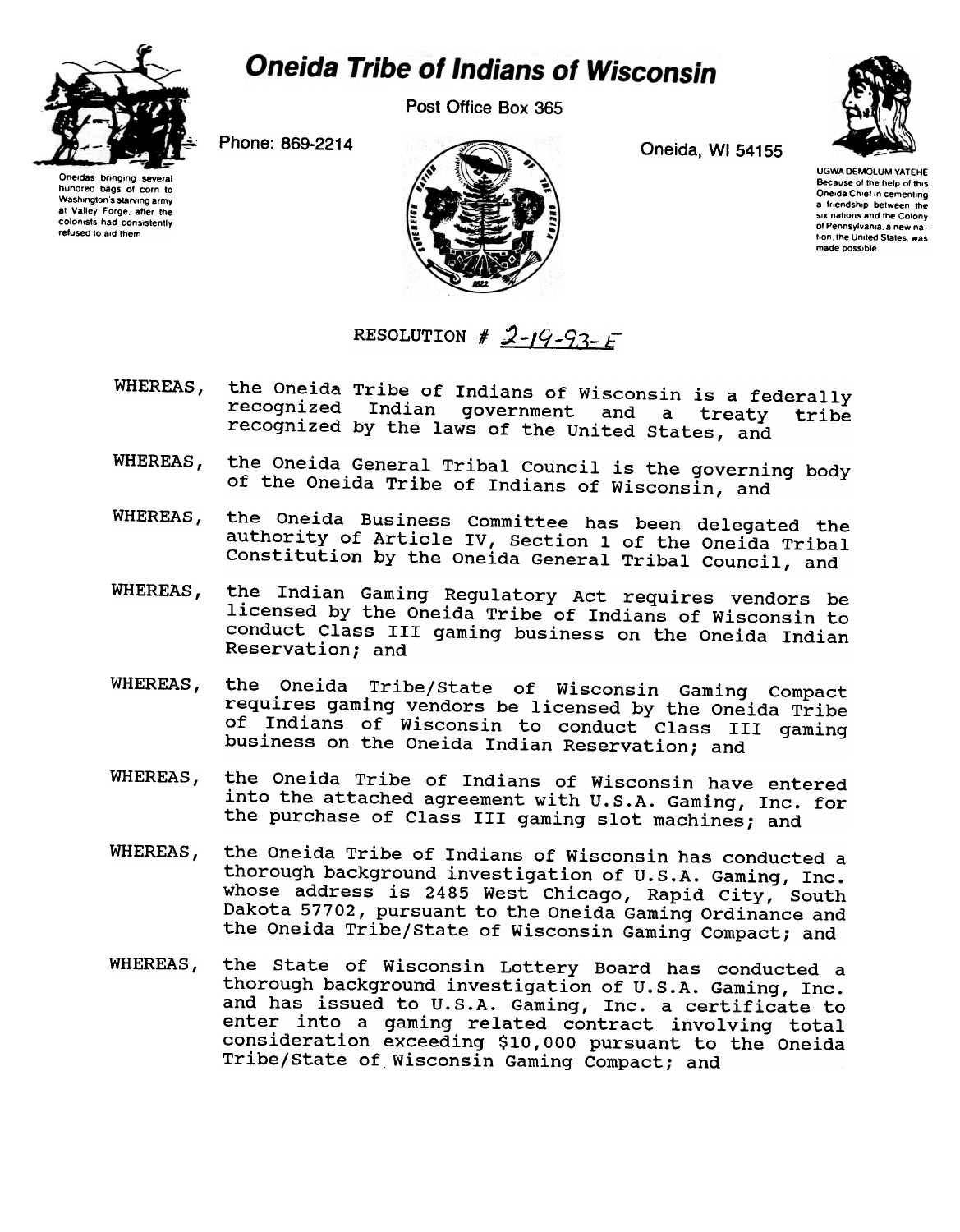

## **Oneida Tribe of Indians of Wisconsin**

Post Office Box 365



Oneidas bringing several hundred bags of corn to Washington's starving army at Valley Forge, after the colonists had consistently retused to aid them



UGWA DEMOLUM YATEHE Because of the help of this Oneida Chief in cementing a friendship between the six nations and the Colony 01 Pennsylvania a new na-Iton the United States was

made possible.

## RESOLUTION #  $2-19-93- F$

- WHEREAS, the Oneida Tribe of Indians of Wisconsin is a federally recognized Indian government and a treaty tribe recognized by the laws of the United states, and
- WHEREAS, the Oneida General Tribal Council is the governing body of the Oneida Tribe of Indians of Wisconsin, and
- the Oneida Business Committee has been delegated the WHEREAS, authority of Article IV, Section 1 of the Oneida Tribal Constitution by the Oneida General Tribal Council, and
- WHEREAS, the Indian Gaming Regulatory Act requires vendors be licensed by the Oneida Tribe of Indians of Wisconsin to conduct Class III gaming business on the Oneida Indian Reservation; and
- WHEREAS, the Oneida Tribe/state of Wisconsin Gaming Compact requires gaming vendors be licensed by the Oneida Tribe of Indians of Wisconsin to conduct Class III gaming business on the Oneida Indian Reservation; and
- the Oneida Tribe of Indians of Wisconsin have entered WHEREAS. into the attached agreement with U.S.A. Gaming, Inc. for the purchase of Class III gaming slot machines; and
- WHEREAS. the Oneida Tribe of Indians of Wisconsin has conducted a thorough background investigation of U.S.A. Gaming, Inc. whose address is 2485 West Chicago, Rapid City, South Dakota 57702, pursuant to the Oneida Gaming Ordinance and the Oneida Tribe/State of Wisconsin Gaming Compact; and
- WHEREAS, the state of Wisconsin Lottery Board has conducted a thorough background investigation of U.S.A. Gaming, Inc. and has issued to U.S.A. Gaming, Inc. a certificate to enter into a gaming related contract involving total consideration exceeding \$10,000 pursuant to the Oneida Tribe/State of Wisconsin Gaming Compact; and